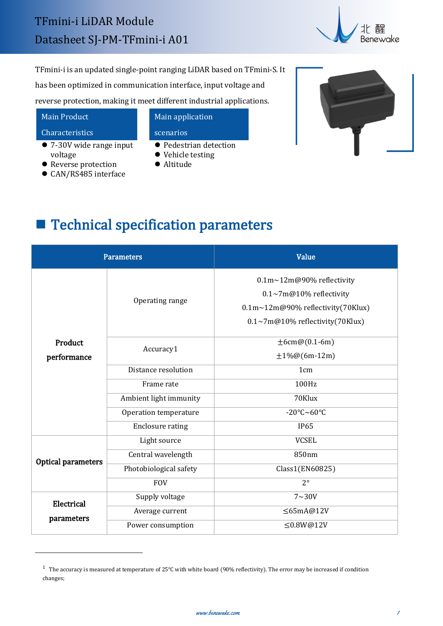

TFmini-i is an updated single-point ranging LiDAR based on TFmini-S. It has been optimized in communication interface, input voltage and reverse protection, making it meet different industrial applications.

### Main Product

#### Characteristics

- 7-30V wide range input voltage
- Reverse protection
- CAN/RS485 interface

## Main application scenarios

- **Pedestrian detection**
- $\bullet$  Vehicle testing
- Altitude



# **Technical specification parameters**

| <b>Parameters</b>      |                         | Value                                                                                                                                |
|------------------------|-------------------------|--------------------------------------------------------------------------------------------------------------------------------------|
| Product<br>performance | Operating range         | 0.1m~12m@90% reflectivity<br>$0.1 \sim 7$ m@10% reflectivity<br>0.1m~12m@90% reflectivity(70Klux)<br>0.1~7m@10% reflectivity(70Klux) |
|                        | Accuracy1               | $\pm 6$ cm@(0.1-6m)<br>$\pm 1\%$ @(6m-12m)                                                                                           |
|                        | Distance resolution     | 1 <sub>cm</sub>                                                                                                                      |
|                        | Frame rate              | 100Hz                                                                                                                                |
|                        | Ambient light immunity  | 70Klux                                                                                                                               |
|                        | Operation temperature   | -20°C~60°C                                                                                                                           |
|                        | <b>Enclosure rating</b> | <b>IP65</b>                                                                                                                          |
| Optical parameters     | Light source            | <b>VCSEL</b>                                                                                                                         |
|                        | Central wavelength      | 850nm                                                                                                                                |
|                        | Photobiological safety  | Class1(EN60825)                                                                                                                      |
|                        | <b>FOV</b>              | $2^{\circ}$                                                                                                                          |
| Electrical             | Supply voltage          | $7 \sim 30V$                                                                                                                         |
| parameters             | Average current         | $\leq$ 65mA@12V                                                                                                                      |
|                        | Power consumption       | $\leq$ 0.8W@12V                                                                                                                      |

<span id="page-0-0"></span> $^1$  The accuracy is measured at temperature of 25℃ with white board (90% reflectivity). The error may be increased if condition changes;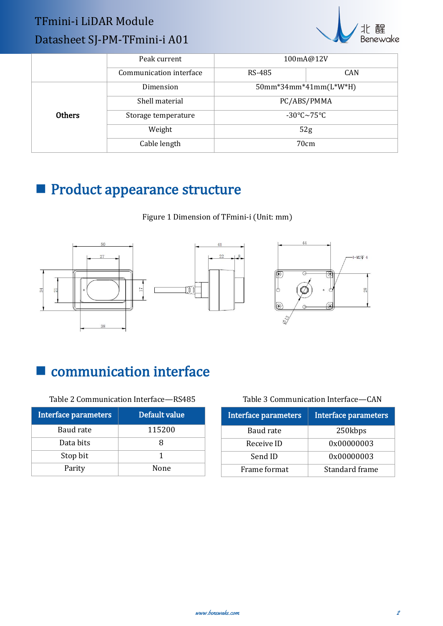## TFmini-i LiDAR Module Datasheet SJ-PM-TFmini-i A01



|               | Peak current            | 100mA@12V                   |      |
|---------------|-------------------------|-----------------------------|------|
|               | Communication interface | RS-485                      | CAN  |
|               | Dimension               | 50mm*34mm*41mm(L*W*H)       |      |
| <b>Others</b> | Shell material          | PC/ABS/PMMA                 |      |
|               | Storage temperature     | $-30^{\circ}$ C $\sim$ 75°C |      |
|               | Weight                  | 52g                         |      |
|               | Cable length            |                             | 70cm |

# **Product appearance structure**

Figure 1 Dimension of TFmini-i (Unit: mm)







# communication interface

Table 2 Communication Interface—RS485

| Interface parameters | Default value | Interface |
|----------------------|---------------|-----------|
| Baud rate            | 115200        | Bau       |
| Data bits            |               | Rece      |
| Stop bit             |               | Ser       |
| Parity               | None          | Frame     |

| <b>Interface parameters</b> | Interface parameters |  |
|-----------------------------|----------------------|--|
| Baud rate                   | 250kbps              |  |
| Receive ID                  | 0x00000003           |  |
| Send ID                     | 0x00000003           |  |
| Frame format                | Standard frame       |  |